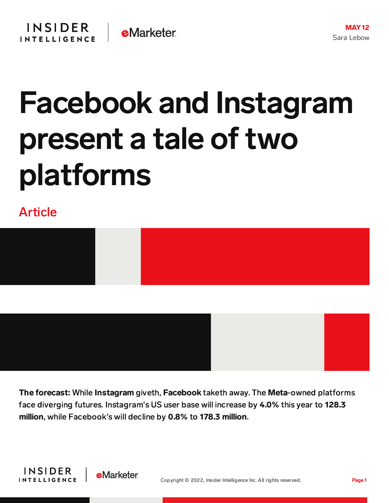## Facebook and Instagram present a tale of two platforms

Article



The forecast: While Instagram giveth, Facebook taketh away. The Meta-owned platforms

face diverging futures. Instagram's US user base will increase by 4.0% this year to 128.3 million, while Facebook's will decline by 0.8% to 178.3 million.



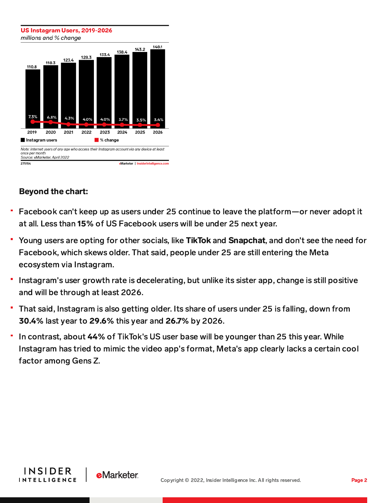

## Beyond the chart:

- Facebook can't keep up as users under 25 continue to leave the platform—or never adopt it at all. Less than 15% of US Facebook users will be under 25 next year.
- Young users are opting for other socials, like TikTok and Snapchat, and don't see the need for Facebook, which skews older. That said, people under 25 are still entering the Meta ecosystem via Instagram.
- Instagram's user growth rate is decelerating, but unlike its sister app, change is still positive and will be through at least 2026.
- That said, Instagram is also getting older. Its share of users under 25 is falling, down from 30.4% last year to 29.6% this year and 26.7% by 2026.
- In contrast, about 44% of TikTok's US user base will be younger than 25 this year. While Instagram has tried to mimic the video app's format, Meta's app clearly lacks a certain cool factor among Gens Z.